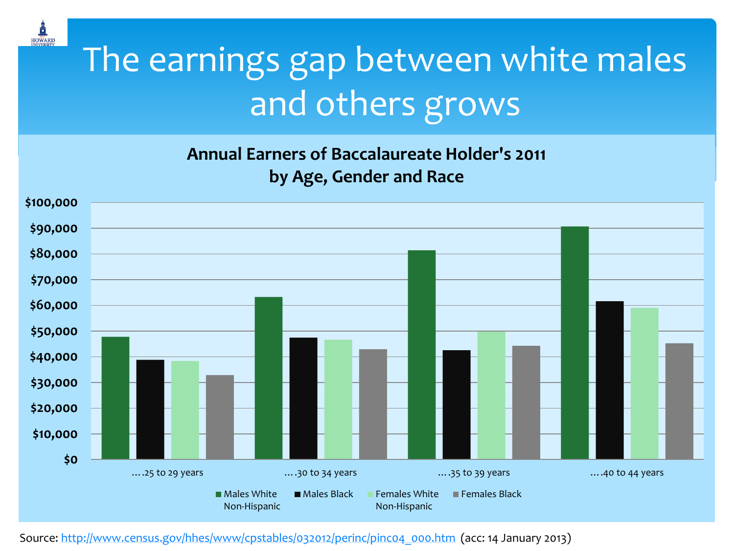

## The earnings gap between white males and others grows

**Annual Earners of Baccalaureate Holder's 2011 by Age, Gender and Race**



Source: [http://www.census.gov/hhes/www/cpstables/032012/perinc/pinc04\\_000.htm](http://www.census.gov/hhes/www/cpstables/032012/perinc/pinc04_000.htm) (acc: 14 January 2013)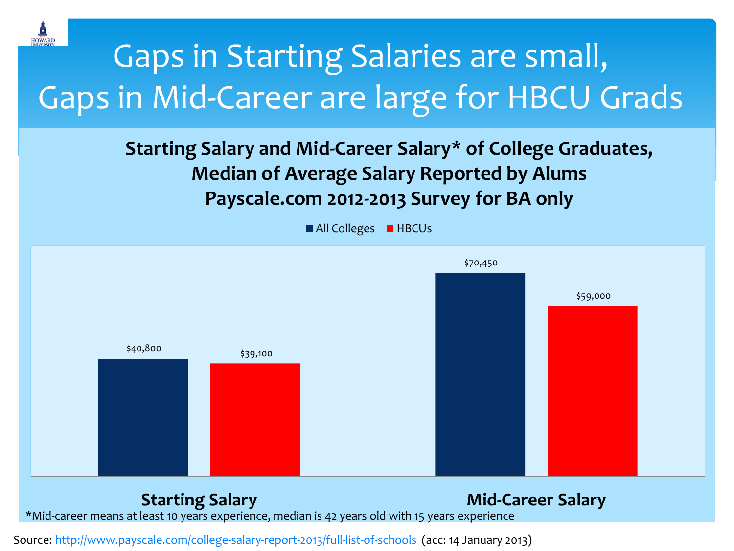

## Gaps in Starting Salaries are small, Gaps in Mid-Career are large for HBCU Grads

**Starting Salary and Mid-Career Salary\* of College Graduates, Median of Average Salary Reported by Alums Payscale.com 2012-2013 Survey for BA only**



Source: <http://www.payscale.com/college-salary-report-2013/full-list-of-schools>(acc: 14 January 2013)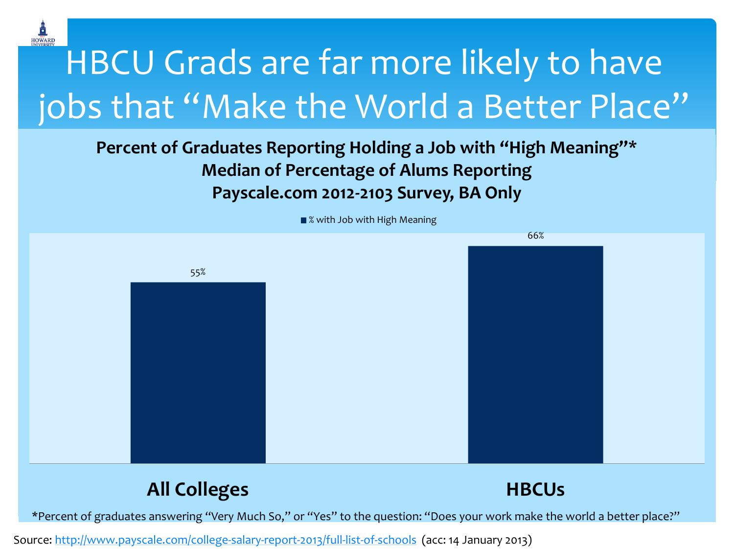

## HBCU Grads are far more likely to have jobs that "Make the World a Better Place"

### **Percent of Graduates Reporting Holding a Job with "High Meaning"\* Percent of Graduates Reporting Holding a Job with "High Meaning"\* Median of Percentage of Alums Reporting Median of Percentage of Alums Reporting Payscale.com 2012-2103 Survey, BA Only Payscale.com 2012-2103 Survey, BA Only**



Source: <http://www.payscale.com/college-salary-report-2013/full-list-of-schools>(acc: 14 January 2013)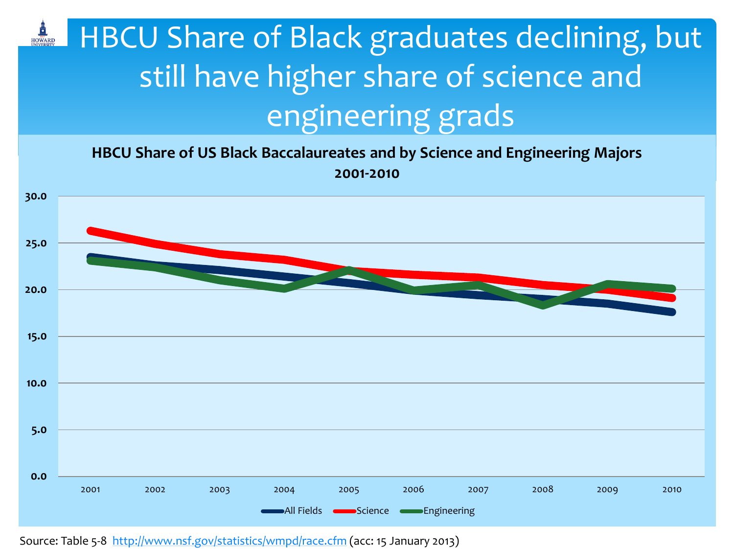### HOWARD HBCU Share of Black graduates declining, but still have higher share of science and engineering grads

**HBCU Share of US Black Baccalaureates and by Science and Engineering Majors 2001-2010**



Source: Table 5-8 <http://www.nsf.gov/statistics/wmpd/race.cfm> (acc: 15 January 2013)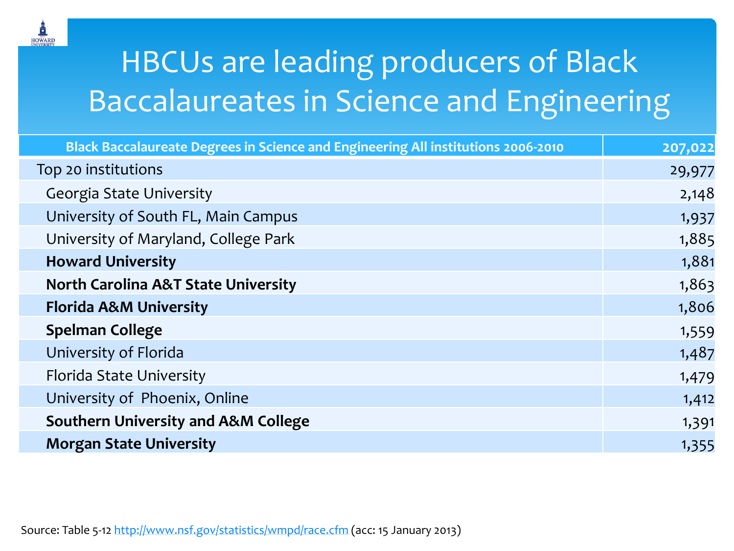

### HBCUs are leading producers of Black **Baccalaureates in Science and Engineering**

| Black Baccalaureate Degrees in Science and Engineering All institutions 2006-2010 | 207,022 |
|-----------------------------------------------------------------------------------|---------|
| Top 20 institutions                                                               | 29,977  |
| <b>Georgia State University</b>                                                   | 2,148   |
| University of South FL, Main Campus                                               | 1,937   |
| University of Maryland, College Park                                              | 1,885   |
| <b>Howard University</b>                                                          | 1,881   |
| <b>North Carolina A&amp;T State University</b>                                    | 1,863   |
| <b>Florida A&amp;M University</b>                                                 | 1,806   |
| <b>Spelman College</b>                                                            | 1,559   |
| University of Florida                                                             | 1,487   |
| Florida State University                                                          | 1,479   |
| University of Phoenix, Online                                                     | 1,412   |
| <b>Southern University and A&amp;M College</b>                                    | 1,391   |
| <b>Morgan State University</b>                                                    | 1,355   |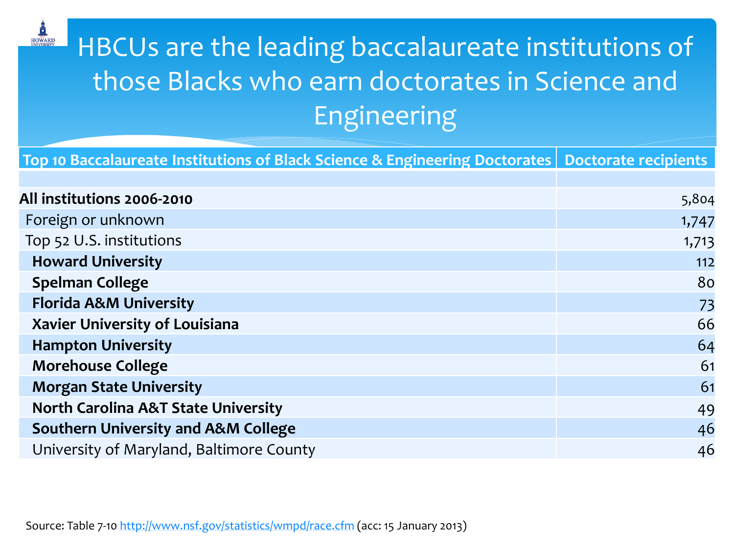### HBCUs are the leading baccalaureate institutions of those Blacks who earn doctorates in Science and Engineering

| Top 10 Baccalaureate Institutions of Black Science & Engineering Doctorates   Doctorate recipients |       |
|----------------------------------------------------------------------------------------------------|-------|
|                                                                                                    |       |
| All institutions 2006-2010                                                                         | 5,804 |
| Foreign or unknown                                                                                 | 1,747 |
| Top 52 U.S. institutions                                                                           | 1,713 |
| <b>Howard University</b>                                                                           | 112   |
| <b>Spelman College</b>                                                                             | 80    |
| <b>Florida A&amp;M University</b>                                                                  | 73    |
| <b>Xavier University of Louisiana</b>                                                              | 66    |
| <b>Hampton University</b>                                                                          | 64    |
| <b>Morehouse College</b>                                                                           | 61    |
| <b>Morgan State University</b>                                                                     | 61    |
| <b>North Carolina A&amp;T State University</b>                                                     | 49    |
| <b>Southern University and A&amp;M College</b>                                                     | 46    |
| University of Maryland, Baltimore County                                                           | 46    |

HOWARD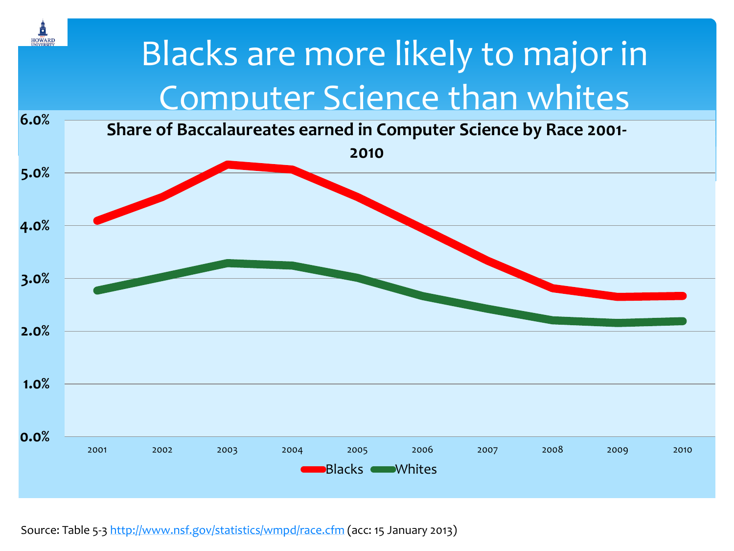

Source: Table 5-3<http://www.nsf.gov/statistics/wmpd/race.cfm> (acc: 15 January 2013)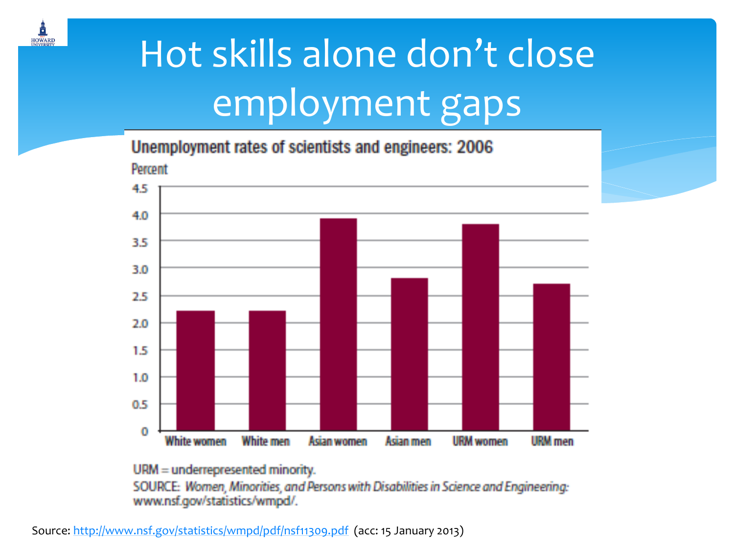![](_page_7_Picture_0.jpeg)

# Hot skills alone don't close employment gaps

Unemployment rates of scientists and engineers: 2006

![](_page_7_Figure_3.jpeg)

#### URM = underrepresented minority.

SOURCE: Women, Minorities, and Persons with Disabilities in Science and Engineering: www.nsf.gov/statistics/wmpd/.

Source: <http://www.nsf.gov/statistics/wmpd/pdf/nsf11309.pdf> (acc: 15 January 2013)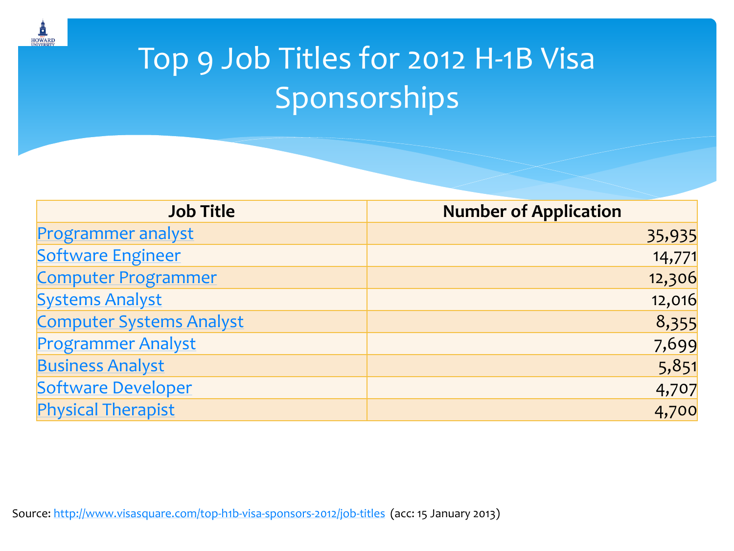![](_page_8_Picture_0.jpeg)

### Top 9 Job Titles for 2012 H-1B Visa Sponsorships

| <b>Job Title</b>                | <b>Number of Application</b> |
|---------------------------------|------------------------------|
| <b>Programmer analyst</b>       | 35,935                       |
| <b>Software Engineer</b>        | 14,771                       |
| <b>Computer Programmer</b>      | 12,306                       |
| <b>Systems Analyst</b>          | 12,016                       |
| <b>Computer Systems Analyst</b> | 8,355                        |
| <b>Programmer Analyst</b>       | 7,699                        |
| <b>Business Analyst</b>         | 5,851                        |
| Software Developer              | 4,707                        |
| <b>Physical Therapist</b>       | 4,700                        |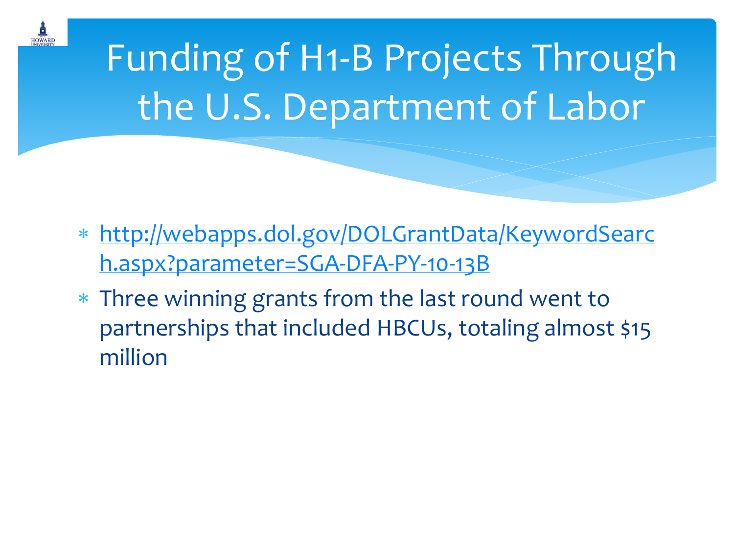![](_page_9_Picture_0.jpeg)

Funding of H1-B Projects Through the U.S. Department of Labor

- [http://webapps.dol.gov/DOLGrantData/KeywordSearc](http://webapps.dol.gov/DOLGrantData/KeywordSearch.aspx?parameter=SGA-DFA-PY-10-13B) [h.aspx?parameter=SGA-DFA-PY-10-13B](http://webapps.dol.gov/DOLGrantData/KeywordSearch.aspx?parameter=SGA-DFA-PY-10-13B)
- Three winning grants from the last round went to partnerships that included HBCUs, totaling almost \$15 million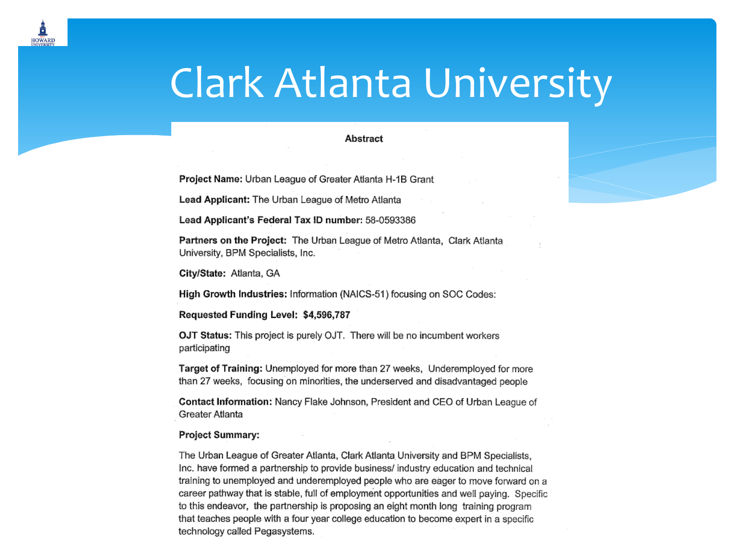## **Clark Atlanta University**

#### Abstract

Project Name: Urban League of Greater Atlanta H-1B Grant

Lead Applicant: The Urban League of Metro Atlanta

Lead Applicant's Federal Tax ID number: 58-0593386

Partners on the Project: The Urban League of Metro Atlanta, Clark Atlanta University, BPM Specialists, Inc.

City/State: Atlanta, GA

**HOWARD** 

High Growth Industries: Information (NAICS-51) focusing on SOC Codes:

Requested Funding Level: \$4,596,787

OJT Status: This project is purely OJT. There will be no incumbent workers participating

Target of Training: Unemployed for more than 27 weeks, Underemployed for more than 27 weeks, focusing on minorities, the underserved and disadvantaged people

Contact Information: Nancy Flake Johnson, President and CEO of Urban League of Greater Atlanta

#### **Project Summary:**

The Urban League of Greater Atlanta, Clark Atlanta University and BPM Specialists, Inc. have formed a partnership to provide business/ industry education and technical training to unemployed and underemployed people who are eager to move forward on a career pathway that is stable, full of employment opportunities and well paying. Specific to this endeavor, the partnership is proposing an eight month long training program that teaches people with a four year college education to become expert in a specific technology called Pegasystems.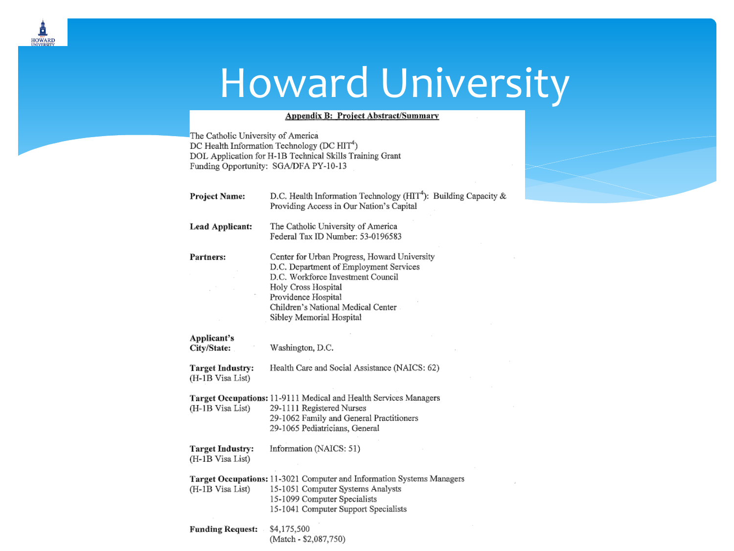## Howard University

#### **Appendix B: Project Abstract/Summary**

The Catholic University of America DC Health Information Technology (DC HIT<sup>4</sup>) DOL Application for H-1B Technical Skills Training Grant Funding Opportunity: SGA/DFA PY-10-13

o **HOWARD** 

| <b>Project Name:</b>                        | D.C. Health Information Technology ( $HTT4$ ): Building Capacity &<br>Providing Access in Our Nation's Capital                                                                                                                              |
|---------------------------------------------|---------------------------------------------------------------------------------------------------------------------------------------------------------------------------------------------------------------------------------------------|
| Lead Applicant:                             | The Catholic University of America<br>Federal Tax ID Number: 53-0196583                                                                                                                                                                     |
| Partners:                                   | Center for Urban Progress, Howard University<br>D.C. Department of Employment Services<br>D.C. Workforce Investment Council<br>Holy Cross Hospital<br>Providence Hospital<br>Children's National Medical Center<br>Sibley Memorial Hospital |
| Applicant's<br>City/State:                  | Washington, D.C.                                                                                                                                                                                                                            |
| <b>Target Industry:</b><br>(H-1B Visa List) | Health Care and Social Assistance (NAICS: 62)                                                                                                                                                                                               |
| (H-1B Visa List)                            | Target Occupations: 11-9111 Medical and Health Services Managers<br>29-1111 Registered Nurses<br>29-1062 Family and General Practitioners<br>29-1065 Pediatricians, General                                                                 |
| <b>Target Industry:</b><br>(H-1B Visa List) | Information (NAICS: 51)                                                                                                                                                                                                                     |
| (H-1B Visa List)                            | Target Occupations: 11-3021 Computer and Information Systems Managers<br>15-1051 Computer Systems Analysts<br>15-1099 Computer Specialists<br>15-1041 Computer Support Specialists                                                          |
| Funding Request:                            | \$4,175,500                                                                                                                                                                                                                                 |

(Match - \$2,087,750)